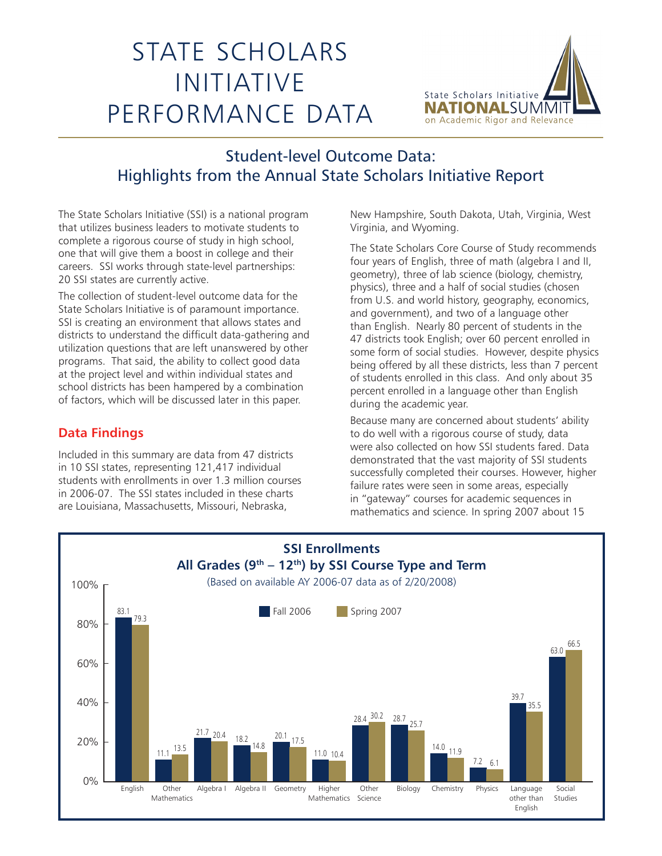## STATE SCHOLARS INITIATIVE PERFORMANCE DATA



## Student-level Outcome Data: Highlights from the Annual State Scholars Initiative Report

The State Scholars Initiative (SSI) is a national program that utilizes business leaders to motivate students to complete a rigorous course of study in high school, one that will give them a boost in college and their careers. SSI works through state-level partnerships: 20 SSI states are currently active.

The collection of student-level outcome data for the State Scholars Initiative is of paramount importance. SSI is creating an environment that allows states and districts to understand the difficult data-gathering and utilization questions that are left unanswered by other programs. That said, the ability to collect good data at the project level and within individual states and school districts has been hampered by a combination of factors, which will be discussed later in this paper.

## **Data Findings**

Included in this summary are data from 47 districts in 10 SSI states, representing 121,417 individual students with enrollments in over 1.3 million courses in 2006-07. The SSI states included in these charts are Louisiana, Massachusetts, Missouri, Nebraska,

New Hampshire, South Dakota, Utah, Virginia, West Virginia, and Wyoming.

The State Scholars Core Course of Study recommends four years of English, three of math (algebra I and II, geometry), three of lab science (biology, chemistry, physics), three and a half of social studies (chosen from U.S. and world history, geography, economics, and government), and two of a language other than English. Nearly 80 percent of students in the 47 districts took English; over 60 percent enrolled in some form of social studies. However, despite physics being offered by all these districts, less than 7 percent of students enrolled in this class. And only about 35 percent enrolled in a language other than English during the academic year.

Because many are concerned about students' ability to do well with a rigorous course of study, data were also collected on how SSI students fared. Data demonstrated that the vast majority of SSI students successfully completed their courses. However, higher failure rates were seen in some areas, especially in "gateway" courses for academic sequences in mathematics and science. In spring 2007 about 15